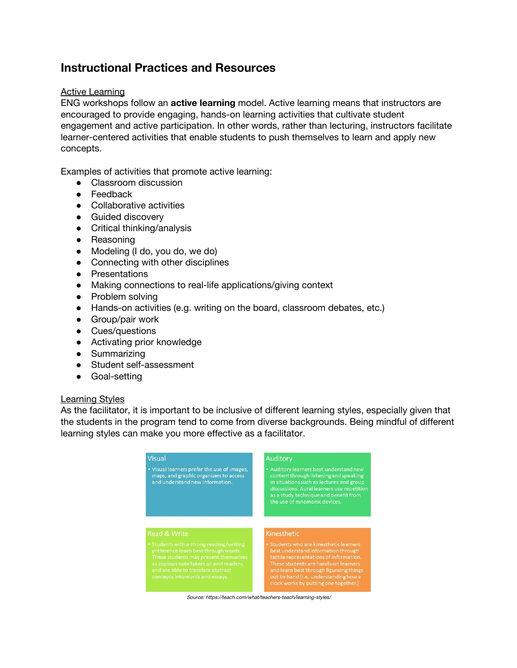# **Instructional Practices and Resources**

#### Active Learning

ENG workshops follow an **active learning** model. Active learning means that instructors are encouraged to provide engaging, hands-on learning activities that cultivate student engagement and active participation. In other words, rather than lecturing, instructors facilitate learner-centered activities that enable students to push themselves to learn and apply new concepts.

Examples of activities that promote active learning:

- Classroom discussion
- Feedback
- Collaborative activities
- Guided discovery
- Critical thinking/analysis
- Reasoning
- Modeling (I do, you do, we do)
- Connecting with other disciplines
- Presentations
- Making connections to real-life applications/giving context
- Problem solving
- Hands-on activities (e.g. writing on the board, classroom debates, etc.)
- Group/pair work
- Cues/questions
- Activating prior knowledge
- Summarizing
- Student self-assessment
- Goal-setting

#### Learning Styles

As the facilitator, it is important to be inclusive of different learning styles, especially given that the students in the program tend to come from diverse backgrounds. Being mindful of different learning styles can make you more effective as a facilitator.

| <b>Visual</b>                                                                                                            | <b>Auditory</b>                                                                                                                                                                                                                                      |
|--------------------------------------------------------------------------------------------------------------------------|------------------------------------------------------------------------------------------------------------------------------------------------------------------------------------------------------------------------------------------------------|
| . Visual learners prefer the use of images,<br>maps, and graphic organizers to access<br>and understand new information. | • Auditory learners best understand new<br>content through listening and speaking<br>in situations such as lectures and group<br>discussions. Aural learners use repetition<br>as a study technique and benefit from<br>the use of mnemonic devices. |
| <b>Read &amp; Write</b>                                                                                                  | Kinesthetic                                                                                                                                                                                                                                          |
|                                                                                                                          |                                                                                                                                                                                                                                                      |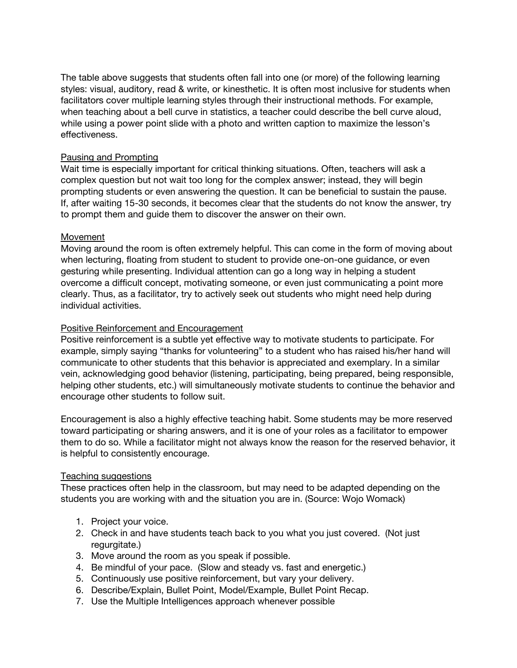The table above suggests that students often fall into one (or more) of the following learning styles: visual, auditory, read & write, or kinesthetic. It is often most inclusive for students when facilitators cover multiple learning styles through their instructional methods. For example, when teaching about a bell curve in statistics, a teacher could describe the bell curve aloud, while using a power point slide with a photo and written caption to maximize the lesson's effectiveness.

#### Pausing and Prompting

Wait time is especially important for critical thinking situations. Often, teachers will ask a complex question but not wait too long for the complex answer; instead, they will begin prompting students or even answering the question. It can be beneficial to sustain the pause. If, after waiting 15-30 seconds, it becomes clear that the students do not know the answer, try to prompt them and guide them to discover the answer on their own.

#### Movement

Moving around the room is often extremely helpful. This can come in the form of moving about when lecturing, floating from student to student to provide one-on-one guidance, or even gesturing while presenting. Individual attention can go a long way in helping a student overcome a difficult concept, motivating someone, or even just communicating a point more clearly. Thus, as a facilitator, try to actively seek out students who might need help during individual activities.

#### Positive Reinforcement and Encouragement

Positive reinforcement is a subtle yet effective way to motivate students to participate. For example, simply saying "thanks for volunteering" to a student who has raised his/her hand will communicate to other students that this behavior is appreciated and exemplary. In a similar vein, acknowledging good behavior (listening, participating, being prepared, being responsible, helping other students, etc.) will simultaneously motivate students to continue the behavior and encourage other students to follow suit.

Encouragement is also a highly effective teaching habit. Some students may be more reserved toward participating or sharing answers, and it is one of your roles as a facilitator to empower them to do so. While a facilitator might not always know the reason for the reserved behavior, it is helpful to consistently encourage.

#### Teaching suggestions

These practices often help in the classroom, but may need to be adapted depending on the students you are working with and the situation you are in. (Source: Wojo Womack)

- 1. Project your voice.
- 2. Check in and have students teach back to you what you just covered. (Not just regurgitate.)
- 3. Move around the room as you speak if possible.
- 4. Be mindful of your pace. (Slow and steady vs. fast and energetic.)
- 5. Continuously use positive reinforcement, but vary your delivery.
- 6. Describe/Explain, Bullet Point, Model/Example, Bullet Point Recap.
- 7. Use the Multiple Intelligences approach whenever possible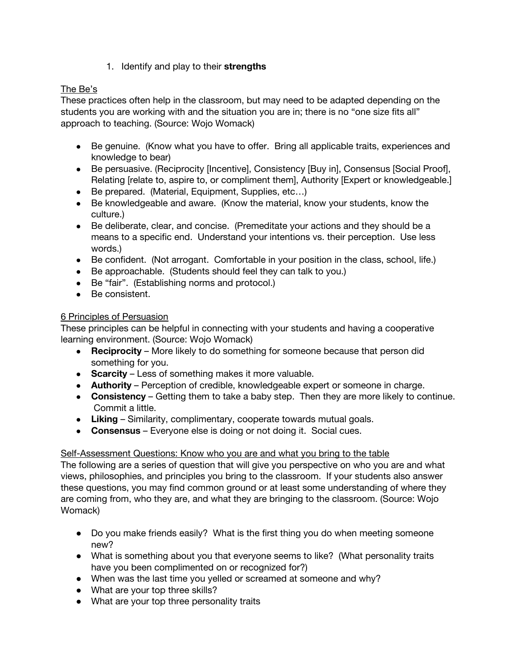1. Identify and play to their **strengths**

# The Be's

These practices often help in the classroom, but may need to be adapted depending on the students you are working with and the situation you are in; there is no "one size fits all" approach to teaching. (Source: Wojo Womack)

- Be genuine. (Know what you have to offer. Bring all applicable traits, experiences and knowledge to bear)
- Be persuasive. (Reciprocity [Incentive], Consistency [Buy in], Consensus [Social Proof], Relating [relate to, aspire to, or compliment them], Authority [Expert or knowledgeable.]
- Be prepared. (Material, Equipment, Supplies, etc...)
- Be knowledgeable and aware. (Know the material, know your students, know the culture.)
- Be deliberate, clear, and concise. (Premeditate your actions and they should be a means to a specific end. Understand your intentions vs. their perception. Use less words.)
- Be confident. (Not arrogant. Comfortable in your position in the class, school, life.)
- Be approachable. (Students should feel they can talk to you.)
- Be "fair". (Establishing norms and protocol.)
- Be consistent.

## 6 Principles of Persuasion

These principles can be helpful in connecting with your students and having a cooperative learning environment. (Source: Wojo Womack)

- **Reciprocity** More likely to do something for someone because that person did something for you.
- **Scarcity** Less of something makes it more valuable.
- **Authority** Perception of credible, knowledgeable expert or someone in charge.
- **Consistency** Getting them to take a baby step. Then they are more likely to continue. Commit a little.
- **Liking** Similarity, complimentary, cooperate towards mutual goals.
- **Consensus** Everyone else is doing or not doing it. Social cues.

## Self-Assessment Questions: Know who you are and what you bring to the table

The following are a series of question that will give you perspective on who you are and what views, philosophies, and principles you bring to the classroom. If your students also answer these questions, you may find common ground or at least some understanding of where they are coming from, who they are, and what they are bringing to the classroom. (Source: Wojo Womack)

- Do you make friends easily? What is the first thing you do when meeting someone new?
- What is something about you that everyone seems to like? (What personality traits have you been complimented on or recognized for?)
- When was the last time you yelled or screamed at someone and why?
- What are your top three skills?
- What are your top three personality traits